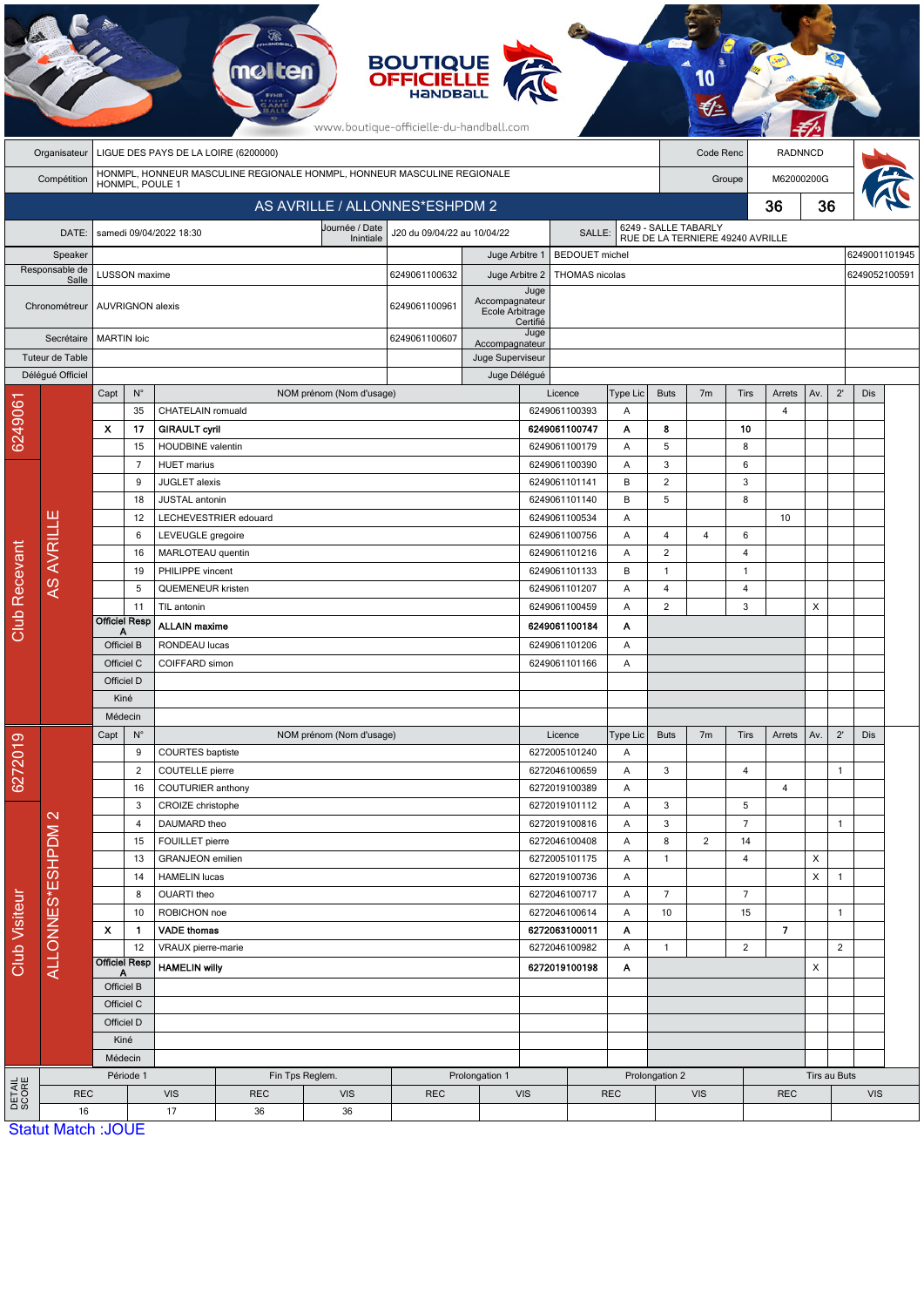|                        | <b>BOUTIQUE</b><br><b>OFFICIELLE</b><br>www.boutique-officielle-du-handball.com |                           |                      |                                                  |                                      |                                                                         |                             |                                   |                  |                                |            |                |                |                                                          |                          |                |                |               |  |  |
|------------------------|---------------------------------------------------------------------------------|---------------------------|----------------------|--------------------------------------------------|--------------------------------------|-------------------------------------------------------------------------|-----------------------------|-----------------------------------|------------------|--------------------------------|------------|----------------|----------------|----------------------------------------------------------|--------------------------|----------------|----------------|---------------|--|--|
|                        | Organisateur                                                                    |                           |                      |                                                  | LIGUE DES PAYS DE LA LOIRE (6200000) |                                                                         |                             |                                   |                  |                                |            |                | Code Renc      |                                                          | <b>RADNNCD</b>           |                |                |               |  |  |
|                        | Compétition                                                                     |                           | HONMPL, POULE 1      |                                                  |                                      | HONMPL, HONNEUR MASCULINE REGIONALE HONMPL, HONNEUR MASCULINE REGIONALE |                             |                                   |                  |                                |            |                |                | Groupe                                                   | M62000200G               |                |                |               |  |  |
|                        |                                                                                 |                           |                      |                                                  |                                      | AS AVRILLE / ALLONNES*ESHPDM 2                                          |                             |                                   |                  |                                |            |                |                |                                                          | 36                       | 36             |                |               |  |  |
|                        | DATE:                                                                           |                           |                      | samedi 09/04/2022 18:30                          |                                      | Journée / Date<br>Inintiale                                             | J20 du 09/04/22 au 10/04/22 |                                   |                  | SALLE:                         |            |                |                | 6249 - SALLE TABARLY<br>RUE DE LA TERNIERE 49240 AVRILLE |                          |                |                |               |  |  |
|                        | Speaker                                                                         |                           |                      |                                                  |                                      |                                                                         |                             | Juge Arbitre 1                    |                  | <b>BEDOUET</b> michel          |            |                |                |                                                          |                          |                |                | 6249001101945 |  |  |
|                        | Responsable de<br>Salle                                                         |                           | LUSSON maxime        |                                                  |                                      |                                                                         | 6249061100632               | Juge Arbitre 2                    |                  | THOMAS nicolas                 |            |                |                |                                                          |                          |                |                | 6249052100591 |  |  |
|                        | Chronométreur                                                                   | AUVRIGNON alexis          |                      |                                                  |                                      |                                                                         | 6249061100961               | Accompagnateur<br>Ecole Arbitrage | Juge<br>Certifié |                                |            |                |                |                                                          |                          |                |                |               |  |  |
|                        | Secrétaire                                                                      | <b>MARTIN</b> loic        |                      |                                                  |                                      |                                                                         | 6249061100607               | Accompagnateur                    | Juge             |                                |            |                |                |                                                          |                          |                |                |               |  |  |
|                        | Tuteur de Table                                                                 |                           |                      |                                                  |                                      |                                                                         |                             | Juge Superviseur                  |                  |                                |            |                |                |                                                          |                          |                |                |               |  |  |
|                        | Délégué Officiel                                                                |                           |                      |                                                  |                                      |                                                                         |                             | Juge Délégué                      |                  |                                |            |                |                |                                                          |                          |                |                |               |  |  |
|                        |                                                                                 | Capt                      | $N^{\circ}$          |                                                  |                                      | NOM prénom (Nom d'usage)                                                |                             |                                   |                  | Licence                        | Type Lic   | <b>Buts</b>    | 7 <sub>m</sub> | Tirs                                                     | Arrets                   | Av.            | $2^{\prime}$   | Dis           |  |  |
| 624906                 |                                                                                 |                           | 35                   | CHATELAIN romuald                                |                                      |                                                                         |                             |                                   |                  | 6249061100393                  | Α          |                |                |                                                          | $\overline{4}$           |                |                |               |  |  |
|                        |                                                                                 | X                         | 17                   | <b>GIRAULT cyril</b><br><b>HOUDBINE</b> valentin |                                      |                                                                         |                             |                                   |                  | 6249061100747<br>6249061100179 | Α          | 8<br>5         |                | 10<br>8                                                  |                          |                |                |               |  |  |
|                        |                                                                                 |                           | 15<br>$\overline{7}$ | <b>HUET</b> marius                               |                                      |                                                                         |                             |                                   |                  | 6249061100390                  | Α<br>Α     | 3              |                | 6                                                        |                          |                |                |               |  |  |
|                        |                                                                                 |                           | 9                    | JUGLET alexis                                    |                                      |                                                                         |                             |                                   |                  | 6249061101141                  | В          | $\overline{2}$ |                | 3                                                        |                          |                |                |               |  |  |
|                        |                                                                                 |                           | 18                   | <b>JUSTAL</b> antonin                            |                                      |                                                                         |                             |                                   |                  | 6249061101140                  | B          | 5              |                | 8                                                        |                          |                |                |               |  |  |
|                        |                                                                                 |                           | 12                   |                                                  | LECHEVESTRIER edouard                |                                                                         |                             |                                   |                  | 6249061100534                  | Α          |                |                |                                                          | 10                       |                |                |               |  |  |
|                        |                                                                                 |                           | 6                    | LEVEUGLE gregoire                                |                                      |                                                                         |                             |                                   |                  | 6249061100756                  | Α          | 4              | 4              | 6                                                        |                          |                |                |               |  |  |
|                        |                                                                                 |                           | 16                   | MARLOTEAU quentin                                |                                      |                                                                         |                             |                                   |                  | 6249061101216                  | Α          | $\overline{2}$ |                | 4                                                        |                          |                |                |               |  |  |
|                        | <b>AS AVRILLE</b>                                                               |                           | 19                   | PHILIPPE vincent                                 |                                      |                                                                         |                             |                                   |                  | 6249061101133                  | B          | $\mathbf{1}$   |                | $\mathbf{1}$                                             |                          |                |                |               |  |  |
|                        |                                                                                 |                           | 5                    | <b>QUEMENEUR kristen</b>                         |                                      |                                                                         |                             |                                   |                  | 6249061101207                  | Α          | $\overline{4}$ |                | 4                                                        |                          |                |                |               |  |  |
| <b>Club Recevant</b>   |                                                                                 |                           | 11                   | TIL antonin                                      |                                      |                                                                         |                             |                                   |                  | 6249061100459                  | Α          | $\overline{2}$ |                | 3                                                        |                          | X              |                |               |  |  |
|                        |                                                                                 | <b>Officiel Resp</b><br>Α |                      | <b>ALLAIN maxime</b>                             |                                      |                                                                         |                             |                                   |                  | 6249061100184                  | Α          |                |                |                                                          |                          |                |                |               |  |  |
|                        |                                                                                 | Officiel B                |                      | RONDEAU lucas                                    |                                      |                                                                         |                             |                                   |                  | 6249061101206                  | Α          |                |                |                                                          |                          |                |                |               |  |  |
|                        |                                                                                 | Officiel C                |                      | COIFFARD simon                                   |                                      |                                                                         |                             |                                   |                  | 6249061101166                  | Α          |                |                |                                                          |                          |                |                |               |  |  |
|                        |                                                                                 | Officiel D                |                      |                                                  |                                      |                                                                         |                             |                                   |                  |                                |            |                |                |                                                          |                          |                |                |               |  |  |
|                        |                                                                                 | Kiné<br>Médecin           |                      |                                                  |                                      |                                                                         |                             |                                   |                  |                                |            |                |                |                                                          |                          |                |                |               |  |  |
|                        |                                                                                 | Capt                      | $N^{\circ}$          |                                                  |                                      | NOM prénom (Nom d'usage)                                                |                             |                                   |                  | Licence                        | Type Lic   | <b>Buts</b>    | 7 <sub>m</sub> | <b>Tirs</b>                                              | Arrets                   | Av.            | $2^{\prime}$   | Dis           |  |  |
| စ                      |                                                                                 |                           | 9                    | COURTES baptiste                                 |                                      |                                                                         |                             |                                   |                  | 6272005101240                  | Α          |                |                |                                                          |                          |                |                |               |  |  |
| 627201                 |                                                                                 |                           | $\overline{2}$       | COUTELLE pierre                                  |                                      |                                                                         |                             |                                   |                  | 6272046100659                  | Α          | 3              |                | $\overline{4}$                                           |                          |                | $\mathbf{1}$   |               |  |  |
|                        |                                                                                 |                           | 16                   | COUTURIER anthony                                |                                      |                                                                         |                             |                                   |                  | 6272019100389                  | Α          |                |                |                                                          | $\overline{4}$           |                |                |               |  |  |
|                        |                                                                                 |                           | 3                    | CROIZE christophe                                |                                      |                                                                         |                             |                                   |                  | 6272019101112                  | A          | 3              |                | 5                                                        |                          |                |                |               |  |  |
|                        | ALLONNES*ESHPDM 2                                                               |                           | 4                    | DAUMARD theo                                     |                                      |                                                                         |                             |                                   |                  | 6272019100816                  | Α          | 3              |                | $\overline{7}$                                           |                          |                | 1              |               |  |  |
|                        |                                                                                 |                           | 15                   | FOUILLET pierre                                  |                                      |                                                                         |                             |                                   |                  | 6272046100408                  | Α          | 8              | $\overline{c}$ | 14                                                       |                          |                |                |               |  |  |
|                        |                                                                                 |                           | 13                   | <b>GRANJEON</b> emilien                          |                                      |                                                                         |                             |                                   |                  | 6272005101175                  | Α          | $\mathbf{1}$   |                | $\overline{4}$                                           |                          | $\pmb{\times}$ |                |               |  |  |
|                        |                                                                                 |                           | 14                   | <b>HAMELIN</b> lucas                             |                                      |                                                                         |                             |                                   |                  | 6272019100736                  | A          |                |                |                                                          |                          | X              | $\mathbf{1}$   |               |  |  |
| Club Visiteur          |                                                                                 |                           | 8                    | OUARTI theo                                      |                                      |                                                                         |                             |                                   |                  | 6272046100717                  | Α          | $\overline{7}$ |                | $\overline{7}$                                           |                          |                |                |               |  |  |
|                        |                                                                                 | $\boldsymbol{\mathsf{x}}$ | 10                   | ROBICHON noe<br><b>VADE</b> thomas               |                                      |                                                                         |                             |                                   |                  | 6272046100614                  | Α          | 10             |                | 15                                                       | $\overline{\phantom{a}}$ |                | $\mathbf{1}$   |               |  |  |
|                        |                                                                                 |                           | 1.<br>12             | VRAUX pierre-marie                               |                                      |                                                                         |                             |                                   |                  | 6272063100011<br>6272046100982 | A<br>Α     | $\mathbf{1}$   |                | $\sqrt{2}$                                               |                          |                | $\overline{2}$ |               |  |  |
|                        |                                                                                 | <b>Officiel Resp</b>      |                      | <b>HAMELIN willy</b>                             |                                      |                                                                         |                             |                                   |                  | 6272019100198                  | A          |                |                |                                                          |                          | X              |                |               |  |  |
|                        |                                                                                 | Officiel B                |                      |                                                  |                                      |                                                                         |                             |                                   |                  |                                |            |                |                |                                                          |                          |                |                |               |  |  |
|                        |                                                                                 | Officiel C                |                      |                                                  |                                      |                                                                         |                             |                                   |                  |                                |            |                |                |                                                          |                          |                |                |               |  |  |
|                        |                                                                                 | Officiel D                |                      |                                                  |                                      |                                                                         |                             |                                   |                  |                                |            |                |                |                                                          |                          |                |                |               |  |  |
|                        |                                                                                 | Kiné                      |                      |                                                  |                                      |                                                                         |                             |                                   |                  |                                |            |                |                |                                                          |                          |                |                |               |  |  |
|                        |                                                                                 | Médecin                   |                      |                                                  |                                      |                                                                         |                             |                                   |                  |                                |            |                |                |                                                          |                          |                |                |               |  |  |
|                        |                                                                                 |                           | Période 1            |                                                  |                                      | Fin Tps Reglem.                                                         |                             | Prolongation 1                    |                  |                                |            | Prolongation 2 |                |                                                          | Tirs au Buts             |                |                |               |  |  |
| <b>DETAIL</b><br>SCORE | <b>REC</b>                                                                      |                           |                      | <b>VIS</b>                                       | <b>REC</b>                           | <b>VIS</b>                                                              | <b>REC</b>                  |                                   | VIS              |                                | <b>REC</b> |                | <b>VIS</b>     |                                                          | <b>REC</b>               |                | <b>VIS</b>     |               |  |  |
|                        | 16                                                                              |                           |                      | 17                                               | 36                                   | 36                                                                      |                             |                                   |                  |                                |            |                |                |                                                          |                          |                |                |               |  |  |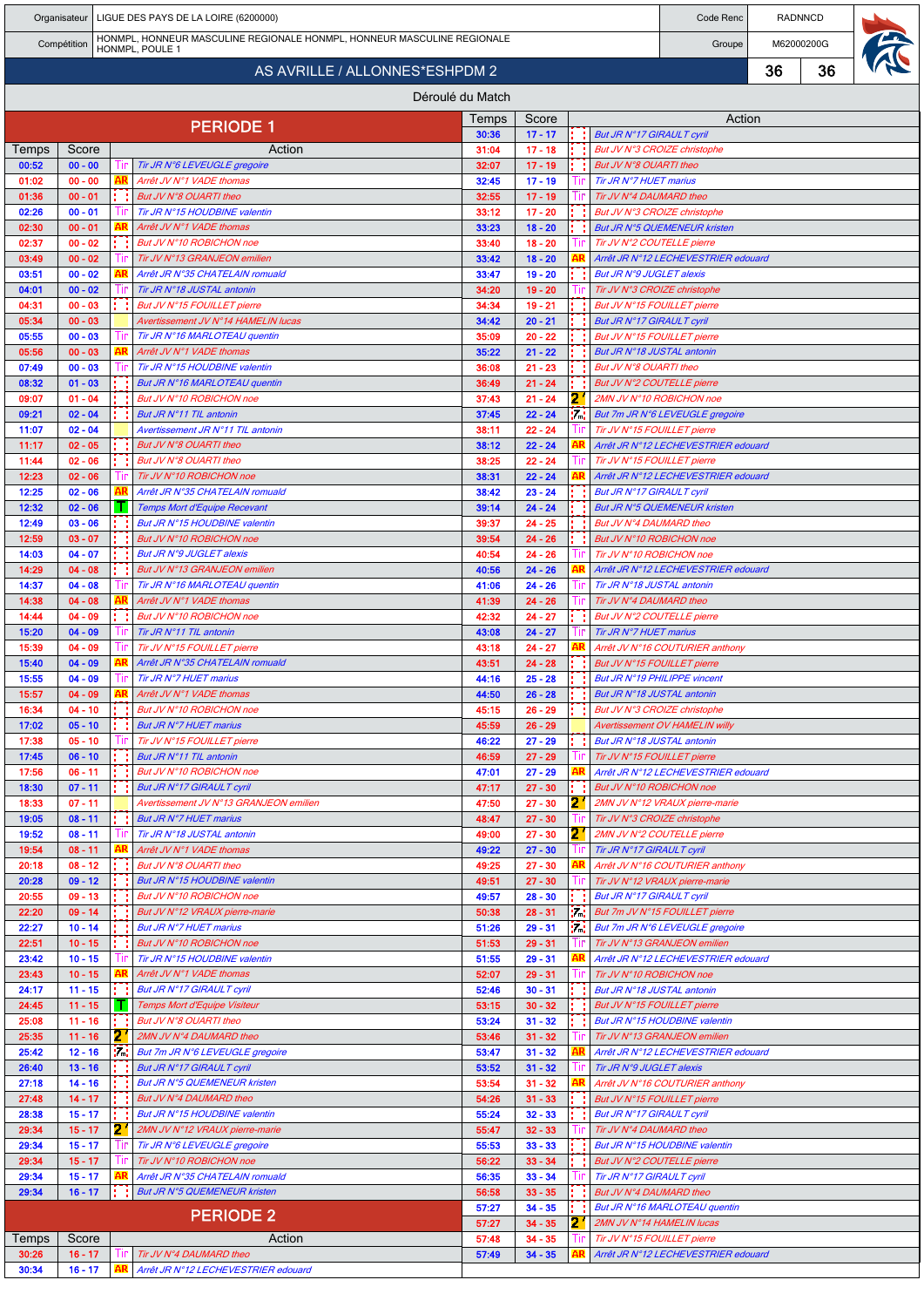|                |                        |                                |           | Organisateur   LIGUE DES PAYS DE LA LOIRE (6200000)                                        |                  | <b>RADNNCD</b><br>Code Renc |           |                                                                       |        |  |            |  |
|----------------|------------------------|--------------------------------|-----------|--------------------------------------------------------------------------------------------|------------------|-----------------------------|-----------|-----------------------------------------------------------------------|--------|--|------------|--|
|                | Compétition            |                                |           | HONMPL, HONNEUR MASCULINE REGIONALE HONMPL, HONNEUR MASCULINE REGIONALE<br>HONMPL, POULE 1 |                  |                             |           | Groupe                                                                |        |  | M62000200G |  |
|                |                        | AS AVRILLE / ALLONNES*ESHPDM 2 |           | 36                                                                                         |                  | 36                          |           |                                                                       |        |  |            |  |
|                |                        |                                |           |                                                                                            | Déroulé du Match |                             |           |                                                                       |        |  |            |  |
|                |                        |                                |           | <b>PERIODE 1</b>                                                                           | Temps            | Score                       |           |                                                                       | Action |  |            |  |
|                | Score                  |                                |           | Action                                                                                     | 30:36<br>31:04   | $17 - 17$<br>$17 - 18$      |           | <b>But JR N°17 GIRAULT cyril</b><br>But JV N°3 CROIZE christophe      |        |  |            |  |
| Temps<br>00:52 | $00 - 00$              |                                |           | Tir JR N°6 LEVEUGLE gregoire                                                               | 32:07            | $17 - 19$                   |           | But JV N°8 OUARTI theo                                                |        |  |            |  |
| 01:02          | $00 - 00$              |                                | AR        | Arrêt JV N°1 VADE thomas                                                                   | 32:45            | $17 - 19$                   |           | Tir JR N°7 HUET marius                                                |        |  |            |  |
| 01:36<br>02:26 | $00 - 01$<br>$00 - 01$ |                                |           | But JV N°8 OUARTI theo<br>Tir JR N°15 HOUDBINE valentin                                    | 32:55<br>33:12   | $17 - 19$<br>$17 - 20$      |           | Tir JV N°4 DAUMARD theo<br>But JV N°3 CROIZE christophe               |        |  |            |  |
| 02:30          | $00 - 01$              |                                |           | Arrêt JV N°1 VADE thomas                                                                   | 33:23            | $18 - 20$                   |           | <b>But JR N°5 QUEMENEUR kristen</b>                                   |        |  |            |  |
| 02:37          | $00 - 02$              |                                |           | But JV N°10 ROBICHON noe                                                                   | 33:40            | $18 - 20$                   |           | Tir JV N°2 COUTELLE pierre                                            |        |  |            |  |
| 03:49          | $00 - 02$              |                                |           | Tir JV N°13 GRANJEON emilien<br>Arrêt JR N°35 CHATELAIN romuald                            | 33:42            | $18 - 20$                   |           | Arrêt JR N°12 LECHEVESTRIER edouard<br>But JR N°9 JUGLET alexis       |        |  |            |  |
| 03:51<br>04:01 | $00 - 02$<br>$00 - 02$ |                                |           | Tir JR N°18 JUSTAL antonin                                                                 | 33:47<br>34:20   | $19 - 20$<br>$19 - 20$      |           | Tir JV N°3 CROIZE christophe                                          |        |  |            |  |
| 04:31          | $00 - 03$              |                                |           | But JV N°15 FOUILLET pierre                                                                | 34:34            | $19 - 21$                   |           | But JV N°15 FOUILLET pierre                                           |        |  |            |  |
| 05:34<br>05:55 | $00 - 03$<br>$00 - 03$ |                                |           | Avertissement JV N°14 HAMELIN lucas<br>Tir JR N°16 MARLOTEAU quentin                       | 34:42<br>35:09   | $20 - 21$<br>$20 - 22$      |           | <b>But JR N°17 GIRAULT cyril</b><br>But JV N°15 FOUILLET pierre       |        |  |            |  |
| 05:56          | $00 - 03$              |                                |           | Arrêt JV N°1 VADE thomas                                                                   | 35:22            | $21 - 22$                   |           | But JR N°18 JUSTAL antonin                                            |        |  |            |  |
| 07:49          | $00 - 03$              |                                |           | Tir JR N°15 HOUDBINE valentin                                                              | 36:08            | $21 - 23$                   |           | But JV N°8 OUARTI theo                                                |        |  |            |  |
| 08:32<br>09:07 | $01 - 03$<br>$01 - 04$ |                                |           | But JR N°16 MARLOTEAU quentin<br>But JV N°10 ROBICHON noe                                  | 36:49<br>37:43   | $21 - 24$<br>$21 - 24$      | 21        | But JV N°2 COUTELLE pierre<br>2MN JV N°10 ROBICHON noe                |        |  |            |  |
| 09:21          | $02 - 04$              |                                |           | But JR N°11 TIL antonin                                                                    | 37:45            | $22 - 24$                   | 74        | But 7m JR N°6 LEVEUGLE gregoire                                       |        |  |            |  |
| 11:07          | $02 - 04$              |                                |           | Avertissement JR N°11 TIL antonin                                                          | 38:11            | $22 - 24$                   |           | Tir JV N°15 FOUILLET pierre                                           |        |  |            |  |
| 11:17          | $02 - 05$              |                                |           | But JV N°8 OUARTI theo                                                                     | 38:12            | $22 - 24$                   |           | Arrêt JR N°12 LECHEVESTRIER edouard                                   |        |  |            |  |
| 11:44<br>12:23 | $02 - 06$<br>$02 - 06$ |                                |           | But JV N°8 OUARTI theo<br>Tir JV N°10 ROBICHON noe                                         | 38:25<br>38:31   | $22 - 24$<br>$22 - 24$      |           | Tir JV N°15 FOUILLET pierre<br>Arrêt JR N°12 LECHEVESTRIER edouard    |        |  |            |  |
| 12:25          | $02 - 06$              |                                |           | Arrêt JR N°35 CHATELAIN romuald                                                            | 38:42            | $23 - 24$                   |           | <b>But JR N°17 GIRAULT cyril</b>                                      |        |  |            |  |
| 12:32          | $02 - 06$              |                                |           | Temps Mort d'Equipe Recevant                                                               | 39:14            | $24 - 24$                   |           | <b>But JR N°5 QUEMENEUR kristen</b>                                   |        |  |            |  |
| 12:49<br>12:59 | $03 - 06$<br>$03 - 07$ |                                |           | But JR N°15 HOUDBINE valentin<br>But JV N°10 ROBICHON noe                                  | 39:37<br>39:54   | $24 - 25$<br>$24 - 26$      |           | But JV N°4 DAUMARD theo<br>But JV N°10 ROBICHON noe                   |        |  |            |  |
| 14:03          | $04 - 07$              |                                |           | But JR N°9 JUGLET alexis                                                                   | 40:54            | $24 - 26$                   |           | Tir JV N°10 ROBICHON noe                                              |        |  |            |  |
| 14:29          | $04 - 08$              |                                |           | But JV N°13 GRANJEON emilien                                                               | 40:56            | $24 - 26$                   |           | Arrêt JR N°12 LECHEVESTRIER edouard                                   |        |  |            |  |
| 14:37<br>14:38 | $04 - 08$<br>$04 - 08$ |                                |           | Tir JR N°16 MARLOTEAU quentin<br>Arrêt JV N°1 VADE thomas                                  | 41:06<br>41:39   | $24 - 26$<br>$24 - 26$      |           | Tir JR N°18 JUSTAL antonin<br>Tir JV N°4 DAUMARD theo                 |        |  |            |  |
| 14:44          | $04 - 09$              |                                |           | But JV N°10 ROBICHON noe                                                                   | 42:32            | $24 - 27$                   |           | But JV N°2 COUTELLE pierre                                            |        |  |            |  |
| 15:20          | $04 - 09$              |                                |           | Tir JR N°11 TIL antonin                                                                    | 43:08            | $24 - 27$                   |           | Tir JR N°7 HUET marius                                                |        |  |            |  |
| 15:39<br>15:40 | $04 - 09$<br>$04 - 09$ |                                |           | Tir JV N°15 FOUILLET pierre<br>Arrêt JR N°35 CHATELAIN romuald                             | 43:18<br>43:51   | $24 - 27$<br>$24 - 28$      |           | Arrêt JV N°16 COUTURIER anthony<br>But JV N°15 FOUILLET pierre        |        |  |            |  |
| 15:55          | $04 - 09$              |                                |           | Tir JR N°7 HUET marius                                                                     | 44:16            | $25 - 28$                   |           | But JR N°19 PHILIPPE vincent                                          |        |  |            |  |
| 15:57          | $04 - 09$              |                                |           | Arrêt JV N°1 VADE thomas                                                                   | 44:50            | $26 - 28$                   |           | But JR N°18 JUSTAL antonin                                            |        |  |            |  |
| 16:34<br>17:02 | $04 - 10$<br>$05 - 10$ |                                |           | But JV N°10 ROBICHON noe<br><b>But JR N°7 HUET marius</b>                                  | 45:15<br>45:59   | $26 - 29$<br>$26 - 29$      |           | But JV N°3 CROIZE christophe<br><b>Avertissement OV HAMELIN willy</b> |        |  |            |  |
| 17:38          | $05 - 10$              |                                |           | Tir JV N°15 FOUILLET pierre                                                                | 46:22            | $27 - 29$                   |           | But JR N°18 JUSTAL antonin                                            |        |  |            |  |
| 17:45          | $06 - 10$              |                                |           | But JR N°11 TIL antonin                                                                    | 46:59            | $27 - 29$                   | ШL        | Tir JV N°15 FOUILLET pierre                                           |        |  |            |  |
| 17:56<br>18:30 | $06 - 11$<br>$07 - 11$ |                                |           | But JV N°10 ROBICHON noe<br>But JR N°17 GIRAULT cyril                                      | 47:01<br>47:17   | $27 - 29$<br>$27 - 30$      |           | Arrêt JR N°12 LECHEVESTRIER edouard<br>But JV N°10 ROBICHON noe       |        |  |            |  |
| 18:33          | $07 - 11$              |                                |           | Avertissement JV N°13 GRANJEON emilien                                                     | 47:50            | $27 - 30$                   | 21        | 2MN JV N°12 VRAUX pierre-marie                                        |        |  |            |  |
| 19:05          | $08 - 11$              |                                |           | <b>But JR N°7 HUET marius</b>                                                              | 48:47            | $27 - 30$                   |           | Tir JV N°3 CROIZE christophe                                          |        |  |            |  |
| 19:52<br>19:54 | $08 - 11$<br>$08 - 11$ |                                | AR        | Tir JR N°18 JUSTAL antonin<br>Arrêt JV N°1 VADE thomas                                     | 49:00<br>49:22   | $27 - 30$<br>$27 - 30$      | 21        | 2MN JV N°2 COUTELLE pierre<br>Tir JR N°17 GIRAULT cyril               |        |  |            |  |
| 20:18          | $08 - 12$              |                                |           | But JV N°8 OUARTI theo                                                                     | 49:25            | $27 - 30$                   |           | Arrêt JV N°16 COUTURIER anthony                                       |        |  |            |  |
| 20:28          | $09 - 12$              |                                |           | But JR N°15 HOUDBINE valentin                                                              | 49:51            | $27 - 30$                   | Шr        | Tir JV N°12 VRAUX pierre-marie                                        |        |  |            |  |
| 20:55<br>22:20 | $09 - 13$<br>$09 - 14$ |                                |           | But JV N°10 ROBICHON noe<br>But JV N°12 VRAUX pierre-marie                                 | 49:57<br>50:38   | $28 - 30$<br>$28 - 31$      | 74        | <b>But JR N°17 GIRAULT cyril</b><br>But 7m JV N°15 FOUILLET pierre    |        |  |            |  |
| 22:27          | $10 - 14$              |                                |           | <b>But JR N°7 HUET marius</b>                                                              | 51:26            | $29 - 31$                   | <b>MA</b> | But 7m JR N°6 LEVEUGLE gregoire                                       |        |  |            |  |
| 22:51          | $10 - 15$              |                                |           | But JV N°10 ROBICHON noe                                                                   | 51:53            | $29 - 31$                   |           | Tir JV N°13 GRANJEON emilien                                          |        |  |            |  |
| 23:42<br>23:43 | $10 - 15$<br>$10 - 15$ |                                |           | Tir JR N°15 HOUDBINE valentin<br>Arrêt JV N°1 VADE thomas                                  | 51:55<br>52:07   | $29 - 31$<br>$29 - 31$      |           | Arrêt JR N°12 LECHEVESTRIER edouard<br>Tir JV N°10 ROBICHON noe       |        |  |            |  |
| 24:17          | $11 - 15$              |                                | 3 S       | But JR N°17 GIRAULT cyril                                                                  | 52:46            | $30 - 31$                   |           | But JR N°18 JUSTAL antonin                                            |        |  |            |  |
| 24:45          | $11 - 15$              |                                |           | Temps Mort d'Equipe Visiteur                                                               | 53:15            | $30 - 32$                   |           | But JV N°15 FOUILLET pierre                                           |        |  |            |  |
| 25:08<br>25:35 | $11 - 16$<br>$11 - 16$ |                                | 21        | But JV N°8 OUARTI theo<br>2MN JV N°4 DAUMARD theo                                          | 53:24<br>53:46   | $31 - 32$<br>$31 - 32$      |           | But JR N°15 HOUDBINE valentin<br>Tir JV N°13 GRANJEON emilien         |        |  |            |  |
| 25:42          | $12 - 16$              |                                | 54        | But 7m JR N°6 LEVEUGLE gregoire                                                            | 53:47            | $31 - 32$                   |           | Arrêt JR N°12 LECHEVESTRIER edouard                                   |        |  |            |  |
| 26:40<br>27:18 | $13 - 16$<br>$14 - 16$ |                                |           | But JR N°17 GIRAULT cyril<br><b>But JR N°5 QUEMENEUR kristen</b>                           | 53:52<br>53:54   | $31 - 32$                   |           | Tir JR N°9 JUGLET alexis                                              |        |  |            |  |
| 27:48          | $14 - 17$              |                                |           | But JV N°4 DAUMARD theo                                                                    | 54:26            | $31 - 32$<br>$31 - 33$      |           | Arrêt JV N°16 COUTURIER anthony<br>But JV N°15 FOUILLET pierre        |        |  |            |  |
| 28:38          | $15 - 17$              |                                |           | But JR N°15 HOUDBINE valentin                                                              | 55:24            | $32 - 33$                   |           | But JR N°17 GIRAULT cyril                                             |        |  |            |  |
| 29:34          | $15 - 17$              |                                | 21        | 2MN JV N°12 VRAUX pierre-marie                                                             | 55:47            | $32 - 33$                   |           | Tir JV N°4 DAUMARD theo                                               |        |  |            |  |
| 29:34<br>29:34 | $15 - 17$<br>$15 - 17$ |                                |           | Tir JR N°6 LEVEUGLE gregoire<br>Tir JV N°10 ROBICHON noe                                   | 55:53<br>56:22   | $33 - 33$<br>$33 - 34$      |           | But JR N°15 HOUDBINE valentin<br>But JV N°2 COUTELLE pierre           |        |  |            |  |
| 29:34          | $15 - 17$              |                                | AR        | Arrêt JR N°35 CHATELAIN romuald                                                            | 56:35            | $33 - 34$                   |           | Tir JR N°17 GIRAULT cyril                                             |        |  |            |  |
| 29:34          | $16 - 17$              |                                |           | <b>But JR N°5 QUEMENEUR kristen</b>                                                        | 56:58            | $33 - 35$                   |           | But JV N°4 DAUMARD theo                                               |        |  |            |  |
|                |                        |                                |           | <b>PERIODE 2</b>                                                                           | 57:27<br>57:27   | $34 - 35$<br>$34 - 35$      | 21        | But JR N°16 MARLOTEAU quentin<br>2MN JV N°14 HAMELIN lucas            |        |  |            |  |
| Temps          | Score                  |                                |           | Action                                                                                     | 57:48            | $34 - 35$                   |           | Tir JV N°15 FOUILLET pierre                                           |        |  |            |  |
| 30:26<br>30:34 | $16 - 17$<br>$16 - 17$ |                                | Tır<br>AR | Tir JV N°4 DAUMARD theo<br>Arrêt JR N°12 LECHEVESTRIER edouard                             | 57:49            | $34 - 35$                   |           | Arrêt JR N°12 LECHEVESTRIER edouard                                   |        |  |            |  |
|                |                        |                                |           |                                                                                            |                  |                             |           |                                                                       |        |  |            |  |